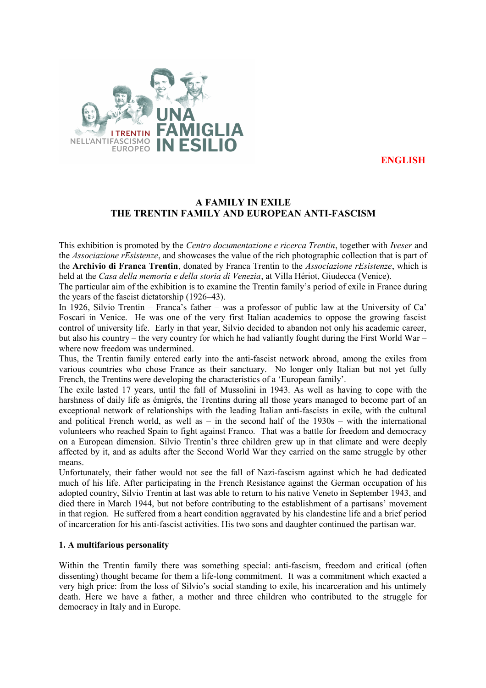

**ENGLISH**

# **A FAMILY IN EXILE THE TRENTIN FAMILY AND EUROPEAN ANTI-FASCISM**

This exhibition is promoted by the *Centro documentazione e ricerca Trentin*, together with *Iveser* and the *Associazione rEsistenze*, and showcases the value of the rich photographic collection that is part of the **Archivio di Franca Trentin**, donated by Franca Trentin to the *Associazione rEsistenze*, which is held at the *Casa della memoria e della storia di Venezia*, at Villa Hériot, Giudecca (Venice).

The particular aim of the exhibition is to examine the Trentin family's period of exile in France during the years of the fascist dictatorship (1926–43).

In 1926, Silvio Trentin – Franca's father – was a professor of public law at the University of Ca' Foscari in Venice. He was one of the very first Italian academics to oppose the growing fascist control of university life. Early in that year, Silvio decided to abandon not only his academic career, but also his country – the very country for which he had valiantly fought during the First World War – where now freedom was undermined.

Thus, the Trentin family entered early into the anti-fascist network abroad, among the exiles from various countries who chose France as their sanctuary. No longer only Italian but not yet fully French, the Trentins were developing the characteristics of a 'European family'.

The exile lasted 17 years, until the fall of Mussolini in 1943. As well as having to cope with the harshness of daily life as émigrés, the Trentins during all those years managed to become part of an exceptional network of relationships with the leading Italian anti-fascists in exile, with the cultural and political French world, as well as – in the second half of the 1930s – with the international volunteers who reached Spain to fight against Franco. That was a battle for freedom and democracy on a European dimension. Silvio Trentin's three children grew up in that climate and were deeply affected by it, and as adults after the Second World War they carried on the same struggle by other means.

Unfortunately, their father would not see the fall of Nazi-fascism against which he had dedicated much of his life. After participating in the French Resistance against the German occupation of his adopted country, Silvio Trentin at last was able to return to his native Veneto in September 1943, and died there in March 1944, but not before contributing to the establishment of a partisans' movement in that region. He suffered from a heart condition aggravated by his clandestine life and a brief period of incarceration for his anti-fascist activities. His two sons and daughter continued the partisan war.

#### **1. A multifarious personality**

Within the Trentin family there was something special: anti-fascism, freedom and critical (often dissenting) thought became for them a life-long commitment. It was a commitment which exacted a very high price: from the loss of Silvio's social standing to exile, his incarceration and his untimely death. Here we have a father, a mother and three children who contributed to the struggle for democracy in Italy and in Europe.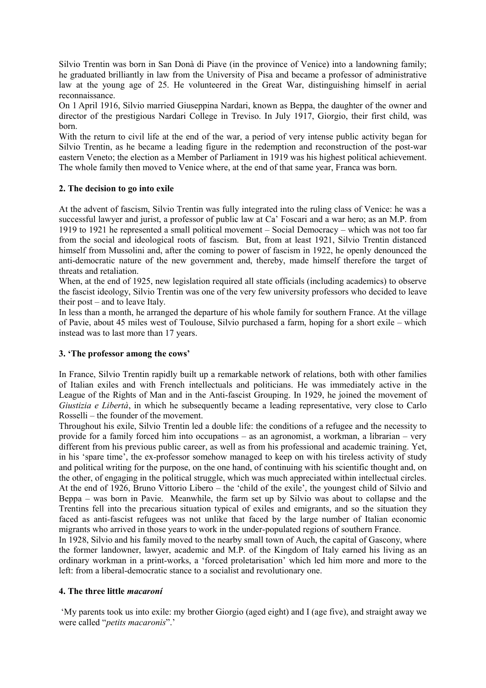Silvio Trentin was born in San Donà di Piave (in the province of Venice) into a landowning family; he graduated brilliantly in law from the University of Pisa and became a professor of administrative law at the young age of 25. He volunteered in the Great War, distinguishing himself in aerial reconnaissance.

On 1 April 1916, Silvio married Giuseppina Nardari, known as Beppa, the daughter of the owner and director of the prestigious Nardari College in Treviso. In July 1917, Giorgio, their first child, was born.

With the return to civil life at the end of the war, a period of very intense public activity began for Silvio Trentin, as he became a leading figure in the redemption and reconstruction of the post-war eastern Veneto; the election as a Member of Parliament in 1919 was his highest political achievement. The whole family then moved to Venice where, at the end of that same year, Franca was born.

## **2. The decision to go into exile**

At the advent of fascism, Silvio Trentin was fully integrated into the ruling class of Venice: he was a successful lawyer and jurist, a professor of public law at Ca' Foscari and a war hero; as an M.P. from 1919 to 1921 he represented a small political movement – Social Democracy – which was not too far from the social and ideological roots of fascism. But, from at least 1921, Silvio Trentin distanced himself from Mussolini and, after the coming to power of fascism in 1922, he openly denounced the anti-democratic nature of the new government and, thereby, made himself therefore the target of threats and retaliation.

When, at the end of 1925, new legislation required all state officials (including academics) to observe the fascist ideology, Silvio Trentin was one of the very few university professors who decided to leave their post – and to leave Italy.

In less than a month, he arranged the departure of his whole family for southern France. At the village of Pavie, about 45 miles west of Toulouse, Silvio purchased a farm, hoping for a short exile – which instead was to last more than 17 years.

#### **3. 'The professor among the cows'**

In France, Silvio Trentin rapidly built up a remarkable network of relations, both with other families of Italian exiles and with French intellectuals and politicians. He was immediately active in the League of the Rights of Man and in the Anti-fascist Grouping. In 1929, he joined the movement of *Giustizia e Libertà*, in which he subsequently became a leading representative, very close to Carlo Rosselli – the founder of the movement.

Throughout his exile, Silvio Trentin led a double life: the conditions of a refugee and the necessity to provide for a family forced him into occupations – as an agronomist, a workman, a librarian – very different from his previous public career, as well as from his professional and academic training. Yet, in his 'spare time', the ex-professor somehow managed to keep on with his tireless activity of study and political writing for the purpose, on the one hand, of continuing with his scientific thought and, on the other, of engaging in the political struggle, which was much appreciated within intellectual circles. At the end of 1926, Bruno Vittorio Libero – the 'child of the exile', the youngest child of Silvio and Beppa – was born in Pavie. Meanwhile, the farm set up by Silvio was about to collapse and the Trentins fell into the precarious situation typical of exiles and emigrants, and so the situation they faced as anti-fascist refugees was not unlike that faced by the large number of Italian economic migrants who arrived in those years to work in the under-populated regions of southern France.

In 1928, Silvio and his family moved to the nearby small town of Auch, the capital of Gascony, where the former landowner, lawyer, academic and M.P. of the Kingdom of Italy earned his living as an ordinary workman in a print-works, a 'forced proletarisation' which led him more and more to the left: from a liberal-democratic stance to a socialist and revolutionary one.

#### **4. The three little** *macaroní*

 'My parents took us into exile: my brother Giorgio (aged eight) and I (age five), and straight away we were called "*petits macaronis*".'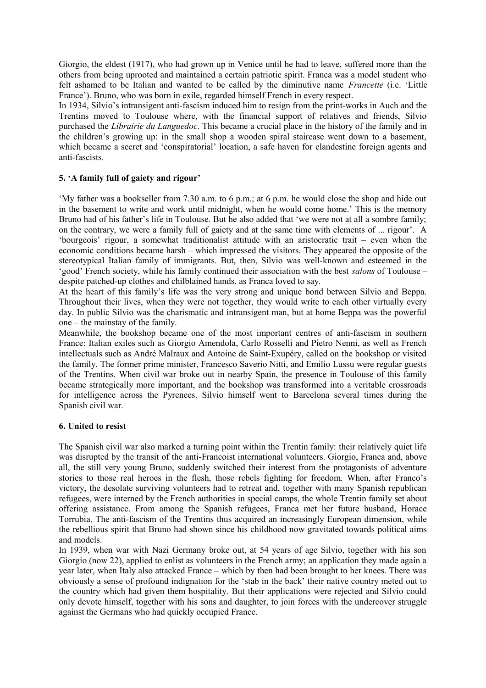Giorgio, the eldest (1917), who had grown up in Venice until he had to leave, suffered more than the others from being uprooted and maintained a certain patriotic spirit. Franca was a model student who felt ashamed to be Italian and wanted to be called by the diminutive name *Francette* (i.e. 'Little France'). Bruno, who was born in exile, regarded himself French in every respect.

In 1934, Silvio's intransigent anti-fascism induced him to resign from the print-works in Auch and the Trentins moved to Toulouse where, with the financial support of relatives and friends, Silvio purchased the *Librairie du Languedoc*. This became a crucial place in the history of the family and in the children's growing up: in the small shop a wooden spiral staircase went down to a basement, which became a secret and 'conspiratorial' location, a safe haven for clandestine foreign agents and anti-fascists.

## **5. 'A family full of gaiety and rigour'**

'My father was a bookseller from 7.30 a.m. to 6 p.m.; at 6 p.m. he would close the shop and hide out in the basement to write and work until midnight, when he would come home.' This is the memory Bruno had of his father's life in Toulouse. But he also added that 'we were not at all a sombre family; on the contrary, we were a family full of gaiety and at the same time with elements of ... rigour'. A 'bourgeois' rigour, a somewhat traditionalist attitude with an aristocratic trait – even when the economic conditions became harsh – which impressed the visitors. They appeared the opposite of the stereotypical Italian family of immigrants. But, then, Silvio was well-known and esteemed in the 'good' French society, while his family continued their association with the best *salons* of Toulouse – despite patched-up clothes and chilblained hands, as Franca loved to say.

At the heart of this family's life was the very strong and unique bond between Silvio and Beppa. Throughout their lives, when they were not together, they would write to each other virtually every day. In public Silvio was the charismatic and intransigent man, but at home Beppa was the powerful one – the mainstay of the family.

Meanwhile, the bookshop became one of the most important centres of anti-fascism in southern France: Italian exiles such as Giorgio Amendola, Carlo Rosselli and Pietro Nenni, as well as French intellectuals such as André Malraux and Antoine de Saint-Exupéry, called on the bookshop or visited the family. The former prime minister, Francesco Saverio Nitti, and Emilio Lussu were regular guests of the Trentins. When civil war broke out in nearby Spain, the presence in Toulouse of this family became strategically more important, and the bookshop was transformed into a veritable crossroads for intelligence across the Pyrenees. Silvio himself went to Barcelona several times during the Spanish civil war.

#### **6. United to resist**

The Spanish civil war also marked a turning point within the Trentin family: their relatively quiet life was disrupted by the transit of the anti-Francoist international volunteers. Giorgio, Franca and, above all, the still very young Bruno, suddenly switched their interest from the protagonists of adventure stories to those real heroes in the flesh, those rebels fighting for freedom. When, after Franco's victory, the desolate surviving volunteers had to retreat and, together with many Spanish republican refugees, were interned by the French authorities in special camps, the whole Trentin family set about offering assistance. From among the Spanish refugees, Franca met her future husband, Horace Torrubia. The anti-fascism of the Trentins thus acquired an increasingly European dimension, while the rebellious spirit that Bruno had shown since his childhood now gravitated towards political aims and models.

In 1939, when war with Nazi Germany broke out, at 54 years of age Silvio, together with his son Giorgio (now 22), applied to enlist as volunteers in the French army; an application they made again a year later, when Italy also attacked France – which by then had been brought to her knees. There was obviously a sense of profound indignation for the 'stab in the back' their native country meted out to the country which had given them hospitality. But their applications were rejected and Silvio could only devote himself, together with his sons and daughter, to join forces with the undercover struggle against the Germans who had quickly occupied France.